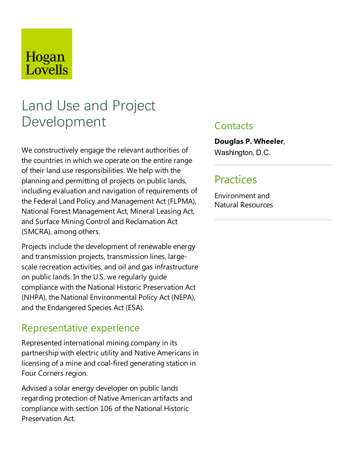## Hogan Lovells

# Land Use and Project Development

We constructively engage the relevant authorities of the countries in which we operate on the entire range of their land use responsibilities. We help with the planning and permitting of projects on publiclands, including evaluation and navigation of requirements of the Federal Land Policy and Management Act (FLPMA), National Forest Management Act, Mineral Leasing Act, and Surface Mining Control and Reclamation Act (SMCRA), among others.

Projects include the development of renewable energy and transmission projects, transmission lines, largescale recreation activities, and oil and gas infrastructure on public lands. In the U.S. we regularly guide compliance with the National Historic Preservation Act (NHPA), the National Environmental Policy Act (NEPA), and the Endangered Species Act (ESA).

### Representative experience

Represented international mining company in its partnership with electric utility and Native Americans in licensing of a mine and coal-fired generating station in Four Corners region.

Advised a solar energy developer on public lands regarding protection of Native American artifacts and compliance with section 106 of the National Historic Preservation Act.

### **Contacts**

#### **Douglas P. Wheeler**,

Washington, D.C.

### Practices

Environment and Natural Resources